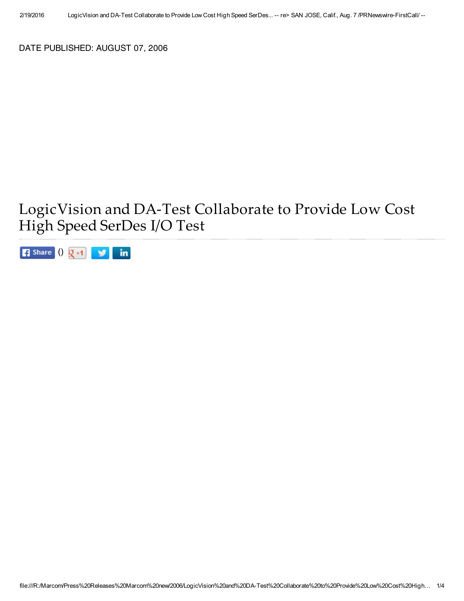DATE PUBLISHED: AUGUST 07, 2006

## LogicVision and DA-Test Collaborate to Provide Low Cost High Speed SerDes I/O Test

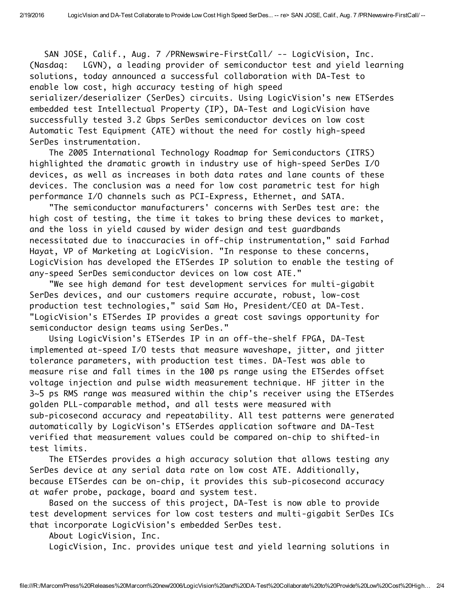SAN JOSE, Calif., Aug. 7 /PRNewswire-FirstCall/ -- LogicVision, Inc. (Nasdaq: LGVN), a leading provider of semiconductor test and yield learning solutions, today announced a successful collaboration with DA-Test to enable low cost, high accuracy testing of high speed serializer/deserializer (SerDes) circuits. Using LogicVision's new ETSerdes embedded test Intellectual Property (IP), DA-Test and LogicVision have successfully tested 3.2 Gbps SerDes semiconductor devices on low cost Automatic Test Equipment (ATE) without the need for costly high-speed SerDes instrumentation.

The 2005 International Technology Roadmap for Semiconductors (ITRS) highlighted the dramatic growth in industry use of high-speed SerDes I/O devices, as well as increases in both data rates and lane counts of these devices. The conclusion was a need for low cost parametric test for high performance I/O channels such as PCI-Express, Ethernet, and SATA.

"The semiconductor manufacturers' concerns with SerDes test are: the high cost of testing, the time it takes to bring these devices to market, and the loss in yield caused by wider design and test guardbands necessitated due to inaccuracies in off-chip instrumentation," said Farhad Hayat, VP of Marketing at LogicVision. "In response to these concerns, LogicVision has developed the ETSerdes IP solution to enable the testing of any-speed SerDes semiconductor devices on low cost ATE."

"We see high demand for test development services for multi-gigabit SerDes devices, and our customers require accurate, robust, low-cost production test technologies," said Sam Ho, President/CEO at DA-Test. "LogicVision's ETSerdes IP provides a great cost savings opportunity for semiconductor design teams using SerDes."

Using LogicVision's ETSerdes IP in an off-the-shelf FPGA, DA-Test implemented at-speed I/O tests that measure waveshape, jitter, and jitter tolerance parameters, with production test times. DA-Test was able to measure rise and fall times in the 100 ps range using the ETSerdes offset voltage injection and pulse width measurement technique. HF jitter in the 3~5 ps RMS range was measured within the chip's receiver using the ETSerdes golden PLL-comparable method, and all tests were measured with sub-picosecond accuracy and repeatability. All test patterns were generated automatically by LogicVison's ETSerdes application software and DA-Test verified that measurement values could be compared on-chip to shifted-in test limits.

The ETSerdes provides a high accuracy solution that allows testing any SerDes device at any serial data rate on low cost ATE. Additionally, because ETSerdes can be on-chip, it provides this sub-picosecond accuracy at wafer probe, package, board and system test.

Based on the success of this project, DA-Test is now able to provide test development services for low cost testers and multi-gigabit SerDes ICs that incorporate LogicVision's embedded SerDes test.

About LogicVision, Inc.

LogicVision, Inc. provides unique test and yield learning solutions in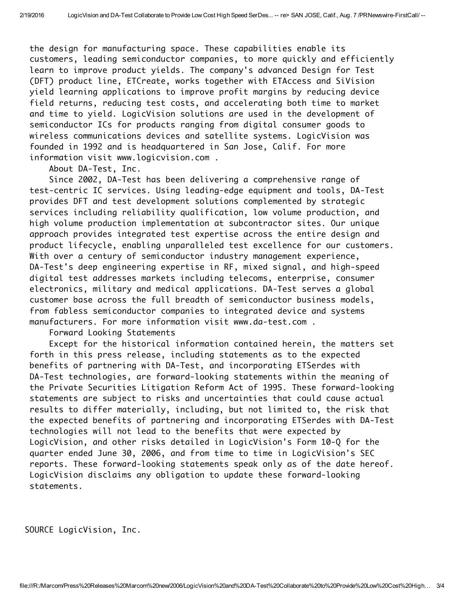the design for manufacturing space. These capabilities enable its customers, leading semiconductor companies, to more quickly and efficiently learn to improve product yields. The company's advanced Design for Test (DFT) product line, ETCreate, works together with ETAccess and SiVision yield learning applications to improve profit margins by reducing device field returns, reducing test costs, and accelerating both time to market and time to yield. LogicVision solutions are used in the development of semiconductor ICs for products ranging from digital consumer goods to wireless communications devices and satellite systems. LogicVision was founded in 1992 and is headquartered in San Jose, Calif. For more information visit www.logicvision.com .

About DA-Test, Inc.

Since 2002, DA-Test has been delivering a comprehensive range of test-centric IC services. Using leading-edge equipment and tools, DA-Test provides DFT and test development solutions complemented by strategic services including reliability qualification, low volume production, and high volume production implementation at subcontractor sites. Our unique approach provides integrated test expertise across the entire design and product lifecycle, enabling unparalleled test excellence for our customers. With over a century of semiconductor industry management experience, DA-Test's deep engineering expertise in RF, mixed signal, and high-speed digital test addresses markets including telecoms, enterprise, consumer electronics, military and medical applications. DA-Test serves a global customer base across the full breadth of semiconductor business models, from fabless semiconductor companies to integrated device and systems manufacturers. For more information visit www.da-test.com .

Forward Looking Statements

Except for the historical information contained herein, the matters set forth in this press release, including statements as to the expected benefits of partnering with DA-Test, and incorporating ETSerdes with DA-Test technologies, are forward-looking statements within the meaning of the Private Securities Litigation Reform Act of 1995. These forward-looking statements are subject to risks and uncertainties that could cause actual results to differ materially, including, but not limited to, the risk that the expected benefits of partnering and incorporating ETSerdes with DA-Test technologies will not lead to the benefits that were expected by LogicVision, and other risks detailed in LogicVision's Form 10-Q for the quarter ended June 30, 2006, and from time to time in LogicVision's SEC reports. These forward-looking statements speak only as of the date hereof. LogicVision disclaims any obligation to update these forward-looking statements.

SOURCE LogicVision, Inc.